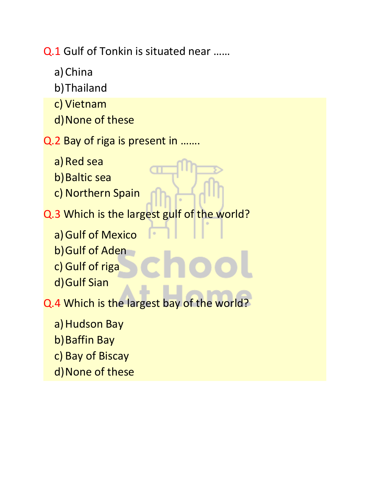Q.1 Gulf of Tonkin is situated near ……

- a)China
- b)Thailand
- c) Vietnam
- d)None of these
- Q.2 Bay of riga is present in …….
	- a) Red sea
	- b) Baltic sea
	- c) Northern Spain
- Q.3 Which is the largest gulf of the world?
	- a) Gulf of Mexico
	- b)Gulf of Aden
	- c) Gulf of riga
	- d)Gulf Sian
- Q.4 Which is the largest bay of the world?
	- a) Hudson Bay
	- b)Baffin Bay
	- c) Bay of Biscay
	- d)None of these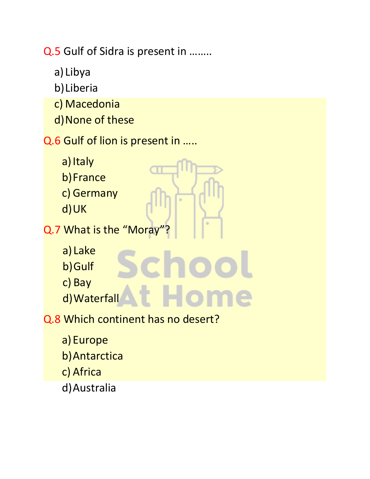Q.5 Gulf of Sidra is present in ……..

- a) Libya
- b)Liberia
- c) Macedonia
- d)None of these

## Q.6 Gulf of lion is present in …..

- a) Italy
- b)France
- c) Germany
- d)UK
- Q.7 What is the "Moray"
	- a) Lake
	- b)Gulf
	- c) Bay
	- d) Waterfall
- Q.8 Which continent has no desert?
	- a)Europe
	- b)Antarctica
	- c) Africa
	- d)Australia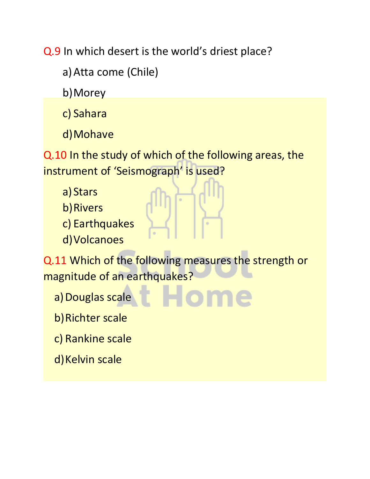Q.9 In which desert is the world's driest place?

a)Atta come (Chile)

b)Morey

c) Sahara

d)Mohave

Q.10 In the study of which of the following areas, the instrument of 'Seismograph' is used?

- a) Stars
- b)Rivers
- c) Earthquakes
- d)Volcanoes

Q.11 Which of the following measures the strength or magnitude of an earthquakes?

a) Douglas scale

b)Richter scale

- c) Rankine scale
- d) Kelvin scale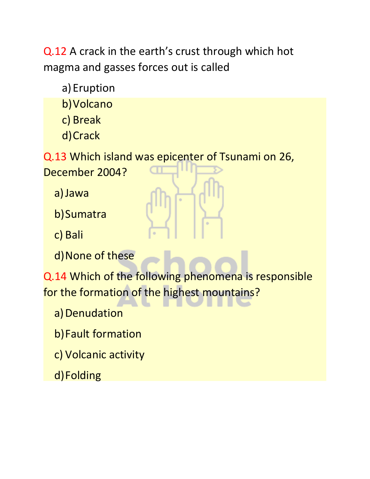Q.12 A crack in the earth's crust through which hot magma and gasses forces out is called

a) Eruption

b)Volcano

c) Break

d)Crack

Q.13 Which island was epicenter of Tsunami on 26,

December 2004?

a)Jawa

b)Sumatra

c) Bali

d)None of these

Q.14 Which of the following phenomena is responsible for the formation of the highest mountains?

a) Denudation

b)Fault formation

c) Volcanic activity

d)Folding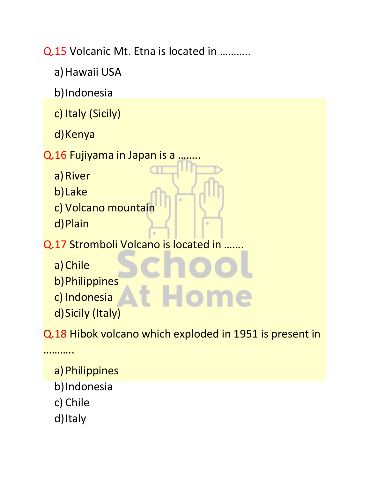Q.15 Volcanic Mt. Etna is located in ………..

- a) Hawaii USA
- b)Indonesia
- c) Italy (Sicily)
- d) Kenya
- Q.16 Fujiyama in Japan is a ....
	- a) River
	- b)Lake
	- c) Volcano mountain
	- d)Plain
- Q.17 Stromboli Volcano is located in …….
	- a)Chile
	- b)Philippines
	- c) Indonesia
	- d)Sicily (Italy)

Q.18 Hibok volcano which exploded in 1951 is present in

a)Philippines

- b)Indonesia
- c) Chile

………

d) Italy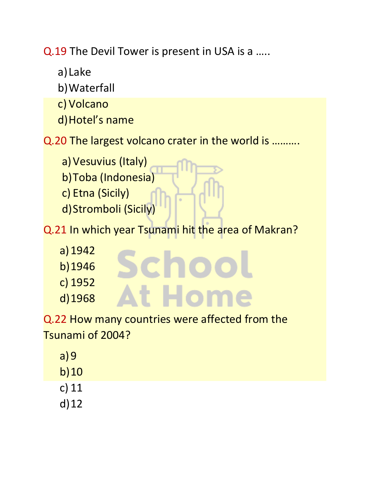Q.19 The Devil Tower is present in USA is a …..

- a) Lake
- b)Waterfall
- c) Volcano
- d)Hotel's name

Q.20 The largest volcano crater in the world is ……….

a) Vesuvius (Italy) b)Toba (Indonesia) c) Etna (Sicily) d)Stromboli (Sicily)

Q.21 In which year Tsunami hit the area of Makran?

Schoo

At Hom

- a)1942 b)1946 c) 1952
- d)1968

Q.22 How many countries were affected from the Tsunami of 2004?

- a)9
- b)10
- c) 11
- d)12